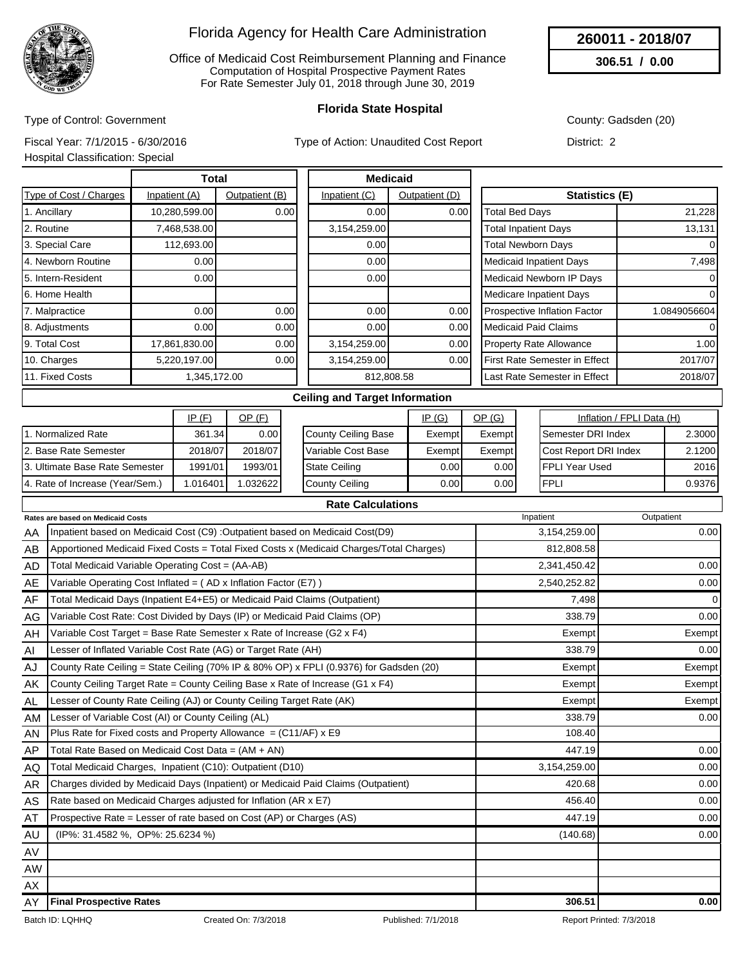

Office of Medicaid Cost Reimbursement Planning and Finance Computation of Hospital Prospective Payment Rates For Rate Semester July 01, 2018 through June 30, 2019

### **Florida State Hospital**

County: Gadsden (20)

**260011 - 2018/07 306.51 / 0.00**

Type of Control: Government Fiscal Year: 7/1/2015 - 6/30/2016

Type of Action: Unaudited Cost Report

District: 2

Hospital Classification: Special

|                               | <b>Total</b>  |                | <b>Medicaid</b> |                |                                |              |
|-------------------------------|---------------|----------------|-----------------|----------------|--------------------------------|--------------|
| <b>Type of Cost / Charges</b> | Inpatient (A) | Outpatient (B) | Inpatient (C)   | Outpatient (D) | <b>Statistics (E)</b>          |              |
| 1. Ancillary                  | 10,280,599.00 | 0.00           | 0.00            | 0.00           | <b>Total Bed Days</b>          | 21,228       |
| 2. Routine                    | 7,468,538.00  |                | 3,154,259.00    |                | <b>Total Inpatient Days</b>    | 13,131       |
| 3. Special Care               | 112,693.00    |                | 0.00            |                | <b>Total Newborn Days</b>      | $\Omega$     |
| 4. Newborn Routine            | 0.00          |                | 0.00            |                | Medicaid Inpatient Days        | 7,498        |
| 5. Intern-Resident            | 0.00          |                | 0.00            |                | Medicaid Newborn IP Days       | $\Omega$     |
| 6. Home Health                |               |                |                 |                | Medicare Inpatient Days        | $\Omega$     |
| 7. Malpractice                | 0.00          | 0.00           | 0.00            | 0.00           | Prospective Inflation Factor   | 1.0849056604 |
| 8. Adjustments                | 0.00          | 0.00           | 0.00            | 0.00           | Medicaid Paid Claims           | $\Omega$     |
| 9. Total Cost                 | 17,861,830.00 | 0.00           | 3,154,259.00    | 0.00           | <b>Property Rate Allowance</b> | 1.00         |
| 10. Charges                   | 5,220,197.00  | 0.00           | 3,154,259.00    | 0.00           | First Rate Semester in Effect  | 2017/07      |
| 11. Fixed Costs               | 1,345,172.00  |                | 812,808.58      |                | Last Rate Semester in Effect   | 2018/07      |

#### **Ceiling and Target Information**

|                                 | IP(F)       | <u>OP (F)</u> |                      | <u>IP (G)</u> | OP(G)  | Inflation / FPLI Data (H)    |         |
|---------------------------------|-------------|---------------|----------------------|---------------|--------|------------------------------|---------|
| Normalized Rate                 | 361.34      | 0.00          | County Ceiling Base  | Exempt        | Exempt | <b>I</b> Semester DRI Index  | 2.30001 |
| 2. Base Rate Semester           | 2018/07     | 2018/07       | l Variable Cost Base | Exempt        | Exempt | <b>Cost Report DRI Index</b> | 2.1200  |
| 3. Ultimate Base Rate Semester  | 1991/01     | 1993/01       | <b>State Ceiling</b> | 0.001         | 0.001  | IFPLI Year Used              | 2016    |
| 4. Rate of Increase (Year/Sem.) | ا 016401. ا | .032622       | County Ceiling       | 0.001         | 0.001  | <b>IFPLI</b>                 | 0.93761 |

**Rate Calculations**

|     | <b>Rate Calculations</b><br>Rates are based on Medicaid Costs                           | Inpatient    | Outpatient     |
|-----|-----------------------------------------------------------------------------------------|--------------|----------------|
|     | Inpatient based on Medicaid Cost (C9) : Outpatient based on Medicaid Cost(D9)           | 3,154,259.00 | 0.00           |
| AA  |                                                                                         |              |                |
| AB  | Apportioned Medicaid Fixed Costs = Total Fixed Costs x (Medicaid Charges/Total Charges) | 812,808.58   |                |
| AD  | Total Medicaid Variable Operating Cost = (AA-AB)                                        | 2,341,450.42 | 0.00           |
| AE  | Variable Operating Cost Inflated = (AD x Inflation Factor (E7))                         | 2,540,252.82 | 0.00           |
| AF  | Total Medicaid Days (Inpatient E4+E5) or Medicaid Paid Claims (Outpatient)              | 7,498        | $\overline{0}$ |
| AG  | Variable Cost Rate: Cost Divided by Days (IP) or Medicaid Paid Claims (OP)              | 338.79       | 0.00           |
| AH  | Variable Cost Target = Base Rate Semester x Rate of Increase $(G2 \times F4)$           | Exempt       | Exempt         |
| AI  | Lesser of Inflated Variable Cost Rate (AG) or Target Rate (AH)                          | 338.79       | 0.00           |
| AJ  | County Rate Ceiling = State Ceiling (70% IP & 80% OP) x FPLI (0.9376) for Gadsden (20)  | Exempt       | Exempt         |
| AK  | County Ceiling Target Rate = County Ceiling Base x Rate of Increase (G1 x F4)           | Exempt       | Exempt         |
| AL  | Lesser of County Rate Ceiling (AJ) or County Ceiling Target Rate (AK)                   | Exempt       | Exempt         |
| AM  | Lesser of Variable Cost (AI) or County Ceiling (AL)                                     | 338.79       | 0.00           |
| AN  | Plus Rate for Fixed costs and Property Allowance = $(C11/AF)$ x E9                      | 108.40       |                |
| AP  | Total Rate Based on Medicaid Cost Data = (AM + AN)                                      | 447.19       | 0.00           |
| AQ. | Total Medicaid Charges, Inpatient (C10): Outpatient (D10)                               | 3,154,259.00 | 0.00           |
| AR  | Charges divided by Medicaid Days (Inpatient) or Medicaid Paid Claims (Outpatient)       | 420.68       | 0.00           |
| AS  | Rate based on Medicaid Charges adjusted for Inflation (AR x E7)                         | 456.40       | 0.00           |
| AT  | Prospective Rate = Lesser of rate based on Cost (AP) or Charges (AS)                    | 447.19       | 0.00           |
| AU  | (IP%: 31.4582 %, OP%: 25.6234 %)                                                        | (140.68)     | 0.00           |
| AV  |                                                                                         |              |                |
| AW  |                                                                                         |              |                |
| AX  |                                                                                         |              |                |
| AY  | <b>Final Prospective Rates</b>                                                          | 306.51       | 0.00           |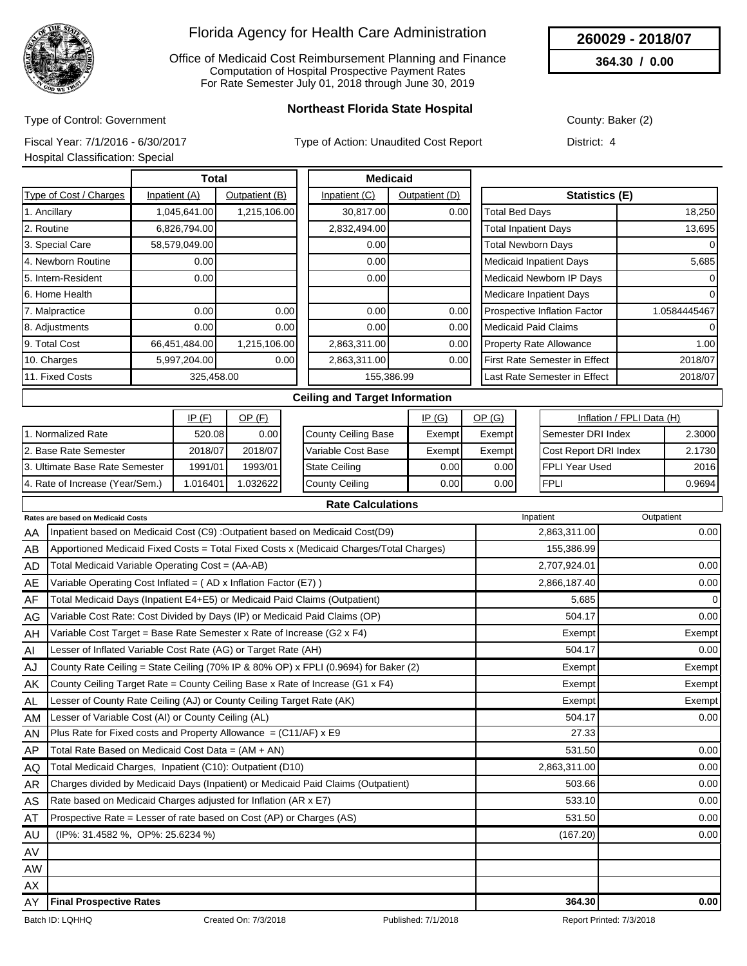

Office of Medicaid Cost Reimbursement Planning and Finance Computation of Hospital Prospective Payment Rates For Rate Semester July 01, 2018 through June 30, 2019

**260029 - 2018/07**

**364.30 / 0.00**

Type of Control: Government

**Northeast Florida State Hospital**

County: Baker (2)

Fiscal Year: 7/1/2016 - 6/30/2017

Type of Action: Unaudited Cost Report

Hospital Classification: Special

District: 4

|                        | <b>Total</b>  |                |               | <b>Medicaid</b> |                                         |              |  |
|------------------------|---------------|----------------|---------------|-----------------|-----------------------------------------|--------------|--|
| Type of Cost / Charges | Inpatient (A) | Outpatient (B) | Inpatient (C) | Outpatient (D)  | <b>Statistics (E)</b>                   |              |  |
| 1. Ancillary           | 1,045,641.00  | 1,215,106.00   | 30,817.00     | 0.00            | <b>Total Bed Days</b>                   | 18,250       |  |
| 2. Routine             | 6,826,794.00  |                | 2,832,494.00  |                 | <b>Total Inpatient Days</b>             | 13,695       |  |
| 3. Special Care        | 58,579,049.00 |                | 0.00          |                 | <b>Total Newborn Days</b>               | 0            |  |
| 4. Newborn Routine     | 0.00          |                | 0.00          |                 | Medicaid Inpatient Days                 | 5,685        |  |
| 5. Intern-Resident     | 0.00          |                | 0.00          |                 | Medicaid Newborn IP Days                | 0            |  |
| 6. Home Health         |               |                |               |                 | Medicare Inpatient Days                 |              |  |
| 7. Malpractice         | 0.001         | 0.00           | 0.00          | 0.00            | <b>Prospective Inflation Factor</b>     | 1.0584445467 |  |
| 8. Adjustments         | 0.00          | 0.00           | 0.00          | 0.00            | Medicaid Paid Claims                    | $\Omega$     |  |
| 9. Total Cost          | 66,451,484.00 | 1,215,106.00   | 2,863,311.00  | 0.00            | <b>Property Rate Allowance</b>          | 1.00         |  |
| 10. Charges            | 5,997,204.00  | 0.00           | 2,863,311.00  | 0.00            | First Rate Semester in Effect           | 2018/07      |  |
| 11. Fixed Costs        | 325,458.00    |                |               | 155,386.99      | 2018/07<br>Last Rate Semester in Effect |              |  |
|                        |               |                |               |                 |                                         |              |  |

#### **Ceiling and Target Information**

|                                 | IP (F)   | <u>OP (F)</u> |                      | IP(G)  | OP(G)  | Inflation / FPLI Data (H)    |        |
|---------------------------------|----------|---------------|----------------------|--------|--------|------------------------------|--------|
| . Normalized Rate               | 520.08   | 0.00          | County Ceiling Base  | Exempt | Exempt | <b>Semester DRI Index</b>    | 2.3000 |
| 12. Base Rate Semester          | 2018/07  | 2018/07       | Variable Cost Base   | Exempt | Exempt | <b>Cost Report DRI Index</b> | 2.1730 |
| 13. Ultimate Base Rate Semester | 1991/01  | 1993/01       | <b>State Ceiling</b> | 0.001  | 0.001  | <b>FPLI Year Used</b>        | 2016   |
| 4. Rate of Increase (Year/Sem.) | 1.016401 | 1.032622      | County Ceiling       | 0.00   | 0.001  | <b>FPLI</b>                  | 0.9694 |

|           | <b>Rate Calculations</b>                                                                |              |             |
|-----------|-----------------------------------------------------------------------------------------|--------------|-------------|
|           | Rates are based on Medicaid Costs                                                       | Inpatient    | Outpatient  |
| AA        | Inpatient based on Medicaid Cost (C9) : Outpatient based on Medicaid Cost(D9)           | 2,863,311.00 | 0.00        |
| AB        | Apportioned Medicaid Fixed Costs = Total Fixed Costs x (Medicaid Charges/Total Charges) | 155,386.99   |             |
| AD        | Total Medicaid Variable Operating Cost = (AA-AB)                                        | 2,707,924.01 | 0.00        |
| AE        | Variable Operating Cost Inflated = (AD x Inflation Factor (E7))                         | 2,866,187.40 | 0.00        |
| AF        | Total Medicaid Days (Inpatient E4+E5) or Medicaid Paid Claims (Outpatient)              | 5,685        | $\mathbf 0$ |
| AG        | Variable Cost Rate: Cost Divided by Days (IP) or Medicaid Paid Claims (OP)              | 504.17       | 0.00        |
| AH        | Variable Cost Target = Base Rate Semester x Rate of Increase (G2 x F4)                  | Exempt       | Exempt      |
| AI        | Lesser of Inflated Variable Cost Rate (AG) or Target Rate (AH)                          | 504.17       | 0.00        |
| AJ        | County Rate Ceiling = State Ceiling (70% IP & 80% OP) x FPLI (0.9694) for Baker (2)     | Exempt       | Exempt      |
| AK        | County Ceiling Target Rate = County Ceiling Base x Rate of Increase (G1 x F4)           | Exempt       | Exempt      |
| AL.       | Lesser of County Rate Ceiling (AJ) or County Ceiling Target Rate (AK)                   | Exempt       | Exempt      |
| AM        | Lesser of Variable Cost (AI) or County Ceiling (AL)                                     | 504.17       | 0.00        |
| AN        | Plus Rate for Fixed costs and Property Allowance = $(C11/AF)$ x E9                      | 27.33        |             |
| AP        | Total Rate Based on Medicaid Cost Data = $(AM + AN)$                                    | 531.50       | 0.00        |
| AQ        | Total Medicaid Charges, Inpatient (C10): Outpatient (D10)                               | 2,863,311.00 | 0.00        |
| AR        | Charges divided by Medicaid Days (Inpatient) or Medicaid Paid Claims (Outpatient)       | 503.66       | 0.00        |
| AS        | Rate based on Medicaid Charges adjusted for Inflation (AR x E7)                         | 533.10       | 0.00        |
| AT        | Prospective Rate = Lesser of rate based on Cost (AP) or Charges (AS)                    | 531.50       | 0.00        |
| AU        | (IP%: 31.4582 %, OP%: 25.6234 %)                                                        | (167.20)     | 0.00        |
| AV        |                                                                                         |              |             |
| <b>AW</b> |                                                                                         |              |             |
| AX        |                                                                                         |              |             |
| AY        | <b>Final Prospective Rates</b>                                                          | 364.30       | 0.00        |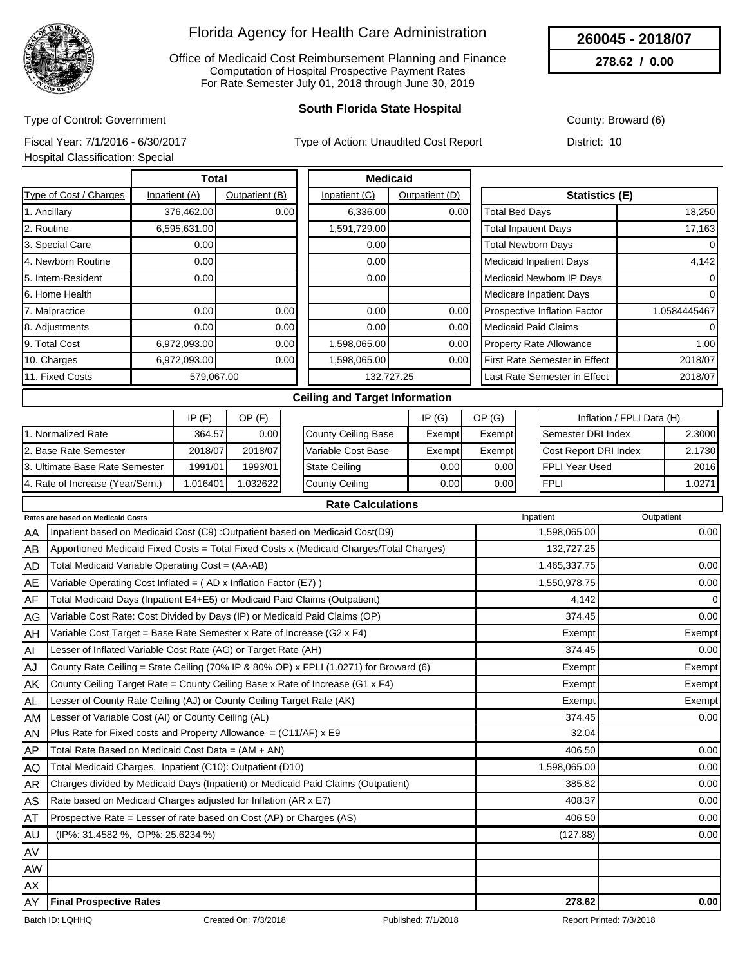

Office of Medicaid Cost Reimbursement Planning and Finance Computation of Hospital Prospective Payment Rates For Rate Semester July 01, 2018 through June 30, 2019

### **South Florida State Hospital**

County: Broward (6)

**260045 - 2018/07 278.62 / 0.00**

Type of Control: Government Fiscal Year: 7/1/2016 - 6/30/2017

Type of Action: Unaudited Cost Report

Hospital Classification: Special

District: 10

|                        | Total         |                |               | <b>Medicaid</b> |                                     |              |
|------------------------|---------------|----------------|---------------|-----------------|-------------------------------------|--------------|
| Type of Cost / Charges | Inpatient (A) | Outpatient (B) | Inpatient (C) | Outpatient (D)  | <b>Statistics (E)</b>               |              |
| 1. Ancillary           | 376,462.00    | 0.00           | 6,336.00      | 0.00            | <b>Fotal Bed Days</b>               | 18,250       |
| 2. Routine             | 6,595,631.00  |                | 1,591,729.00  |                 | <b>Total Inpatient Days</b>         | 17,163       |
| 3. Special Care        | 0.00          |                | 0.00          |                 | <b>Total Newborn Days</b>           | $\Omega$     |
| 4. Newborn Routine     | 0.00          |                | 0.00          |                 | <b>Medicaid Inpatient Days</b>      | 4,142        |
| 5. Intern-Resident     | 0.00          |                | 0.00          |                 | Medicaid Newborn IP Days            | 0            |
| l6. Home Health        |               |                |               |                 | <b>Medicare Inpatient Days</b>      |              |
| 7. Malpractice         | 0.00          | 0.00           | 0.00          | 0.00            | <b>Prospective Inflation Factor</b> | 1.0584445467 |
| 8. Adjustments         | 0.00          | 0.00           | 0.00          | 0.00            | <b>Medicaid Paid Claims</b>         | $\Omega$     |
| 9. Total Cost          | 6,972,093.00  | 0.00           | 1,598,065.00  | 0.00            | <b>Property Rate Allowance</b>      | 1.00         |
| 10. Charges            | 6,972,093.00  | 0.00           | 1,598,065.00  | 0.00            | First Rate Semester in Effect       | 2018/07      |
| 11. Fixed Costs        | 579,067.00    |                |               | 132,727.25      | Last Rate Semester in Effect        | 2018/07      |
|                        |               |                |               |                 |                                     |              |

#### **Ceiling and Target Information**

|                                 | IP(F)   | <u>OP (F)</u> |                      | IP(G)  | <u>OP (G)</u>     | Inflation / FPLI Data (H)    |        |
|---------------------------------|---------|---------------|----------------------|--------|-------------------|------------------------------|--------|
| Normalized Rate                 | 364.57  | 0.00          | County Ceiling Base  | Exempt | Exempt            | <b>I</b> Semester DRI Index  | 2.3000 |
| 2. Base Rate Semester           | 2018/07 | 2018/07       | l Variable Cost Base | Exempt | Exempt            | <b>Cost Report DRI Index</b> | 2.1730 |
| 3. Ultimate Base Rate Semester  | 1991/01 | 1993/01       | State Ceiling        | 0.00 l | 0.00 <sub>l</sub> | IFPLI Year Used              | 2016   |
| 4. Rate of Increase (Year/Sem.) | .016401 | .032622       | County Ceiling       | 0.00 l | 0.001             | <b>FPLI</b>                  | .0271  |

|           | <b>Rate Calculations</b>                                                                |              |             |
|-----------|-----------------------------------------------------------------------------------------|--------------|-------------|
|           | Rates are based on Medicaid Costs                                                       | Inpatient    | Outpatient  |
| AA        | Inpatient based on Medicaid Cost (C9) : Outpatient based on Medicaid Cost (D9)          | 1,598,065.00 | 0.00        |
| AB        | Apportioned Medicaid Fixed Costs = Total Fixed Costs x (Medicaid Charges/Total Charges) | 132,727.25   |             |
| AD        | Total Medicaid Variable Operating Cost = (AA-AB)                                        | 1,465,337.75 | 0.00        |
| AE        | Variable Operating Cost Inflated = (AD x Inflation Factor (E7))                         | 1,550,978.75 | 0.00        |
| AF        | Total Medicaid Days (Inpatient E4+E5) or Medicaid Paid Claims (Outpatient)              | 4,142        | $\mathbf 0$ |
| AG        | Variable Cost Rate: Cost Divided by Days (IP) or Medicaid Paid Claims (OP)              | 374.45       | 0.00        |
| AH        | Variable Cost Target = Base Rate Semester x Rate of Increase (G2 x F4)                  | Exempt       | Exempt      |
| AI        | Lesser of Inflated Variable Cost Rate (AG) or Target Rate (AH)                          | 374.45       | 0.00        |
| AJ        | County Rate Ceiling = State Ceiling (70% IP & 80% OP) x FPLI (1.0271) for Broward (6)   | Exempt       | Exempt      |
| AK        | County Ceiling Target Rate = County Ceiling Base x Rate of Increase (G1 x F4)           | Exempt       | Exempt      |
| AL.       | Lesser of County Rate Ceiling (AJ) or County Ceiling Target Rate (AK)                   | Exempt       | Exempt      |
| AM        | Lesser of Variable Cost (AI) or County Ceiling (AL)                                     | 374.45       | 0.00        |
| AN        | Plus Rate for Fixed costs and Property Allowance = $(C11/AF)$ x E9                      | 32.04        |             |
| AP        | Total Rate Based on Medicaid Cost Data = (AM + AN)                                      | 406.50       | 0.00        |
| AQ        | Total Medicaid Charges, Inpatient (C10): Outpatient (D10)                               | 1,598,065.00 | 0.00        |
| <b>AR</b> | Charges divided by Medicaid Days (Inpatient) or Medicaid Paid Claims (Outpatient)       | 385.82       | 0.00        |
| <b>AS</b> | Rate based on Medicaid Charges adjusted for Inflation (AR x E7)                         | 408.37       | 0.00        |
| AT        | Prospective Rate = Lesser of rate based on Cost (AP) or Charges (AS)                    | 406.50       | 0.00        |
| AU        | (IP%: 31.4582 %, OP%: 25.6234 %)                                                        | (127.88)     | 0.00        |
| AV        |                                                                                         |              |             |
| <b>AW</b> |                                                                                         |              |             |
| AX        |                                                                                         |              |             |
| AY        | <b>Final Prospective Rates</b>                                                          | 278.62       | 0.00        |

Batch ID: LQHHQ Created On: 7/3/2018 Published: 7/1/2018 Published: 7/1/2018 Report Printed: 7/3/2018